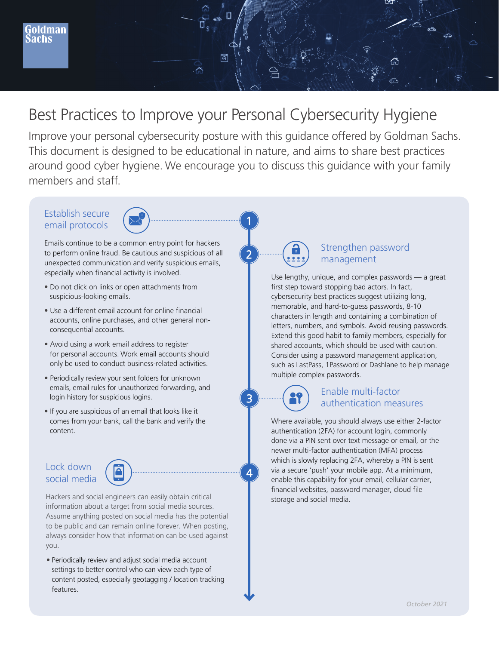# Best Practices to Improve your Personal Cybersecurity Hygiene

बि

Improve your personal cybersecurity posture with this guidance offered by Goldman Sachs. This document is designed to be educational in nature, and aims to share best practices around good cyber hygiene. We encourage you to discuss this guidance with your family members and staff.

1

2

3

 $\Delta$ 

### Establish secure email protocols



Emails continue to be a common entry point for hackers to perform online fraud. Be cautious and suspicious of all unexpected communication and verify suspicious emails, especially when financial activity is involved.

- Do not click on links or open attachments from suspicious-looking emails.
- Use a different email account for online financial accounts, online purchases, and other general nonconsequential accounts.
- Avoid using a work email address to register for personal accounts. Work email accounts should only be used to conduct business-related activities.
- Periodically review your sent folders for unknown emails, email rules for unauthorized forwarding, and login history for suspicious logins.
- If you are suspicious of an email that looks like it comes from your bank, call the bank and verify the content.

#### Lock down social media



Hackers and social engineers can easily obtain critical information about a target from social media sources. Assume anything posted on social media has the potential to be public and can remain online forever. When posting, always consider how that information can be used against you.

• Periodically review and adjust social media account settings to better control who can view each type of content posted, especially geotagging / location tracking features.



### Strengthen password management

Use lengthy, unique, and complex passwords — a great first step toward stopping bad actors. In fact, cybersecurity best practices suggest utilizing long, memorable, and hard-to-guess passwords, 8-10 characters in length and containing a combination of letters, numbers, and symbols. Avoid reusing passwords. Extend this good habit to family members, especially for shared accounts, which should be used with caution. Consider using a password management application, such as LastPass, 1Password or Dashlane to help manage multiple complex passwords.



## Enable multi-factor authentication measures

Where available, you should always use either 2-factor authentication (2FA) for account login, commonly done via a PIN sent over text message or email, or the newer multi-factor authentication (MFA) process which is slowly replacing 2FA, whereby a PIN is sent via a secure 'push' your mobile app. At a minimum, enable this capability for your email, cellular carrier, financial websites, password manager, cloud file storage and social media.